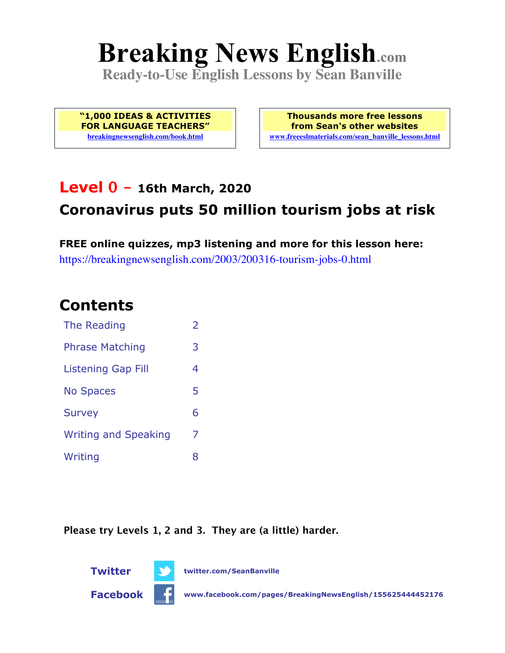# **Breaking News English.com**

**Ready-to-Use English Lessons by Sean Banville**

**"1,000 IDEAS & ACTIVITIES FOR LANGUAGE TEACHERS" breakingnewsenglish.com/book.html**

**Thousands more free lessons from Sean's other websites www.freeeslmaterials.com/sean\_banville\_lessons.html**

### **Level 0 - 16th March, 2020**

### **Coronavirus puts 50 million tourism jobs at risk**

**FREE online quizzes, mp3 listening and more for this lesson here:** https://breakingnewsenglish.com/2003/200316-tourism-jobs-0.html

### **Contents**

| The Reading                 | $\overline{\phantom{a}}$ |  |
|-----------------------------|--------------------------|--|
| <b>Phrase Matching</b>      | 3                        |  |
| Listening Gap Fill          |                          |  |
| <b>No Spaces</b>            | 5                        |  |
| <b>Survey</b>               | 6                        |  |
| <b>Writing and Speaking</b> | 7                        |  |
| Writing                     | 8                        |  |

**Please try Levels 1, 2 and 3. They are (a little) harder.**





**Facebook www.facebook.com/pages/BreakingNewsEnglish/155625444452176**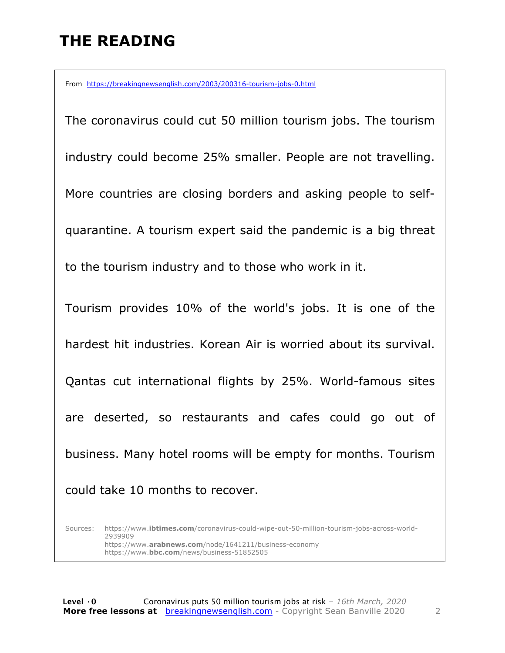# **THE READING**

From https://breakingnewsenglish.com/2003/200316-tourism-jobs-0.html

The coronavirus could cut 50 million tourism jobs. The tourism industry could become 25% smaller. People are not travelling. More countries are closing borders and asking people to selfquarantine. A tourism expert said the pandemic is a big threat to the tourism industry and to those who work in it. Tourism provides 10% of the world's jobs. It is one of the hardest hit industries. Korean Air is worried about its survival. Qantas cut international flights by 25%. World-famous sites are deserted, so restaurants and cafes could go out of business. Many hotel rooms will be empty for months. Tourism could take 10 months to recover.

Sources: https://www.**ibtimes.com**/coronavirus-could-wipe-out-50-million-tourism-jobs-across-world-2939909 https://www.**arabnews.com**/node/1641211/business-economy https://www.**bbc.com**/news/business-51852505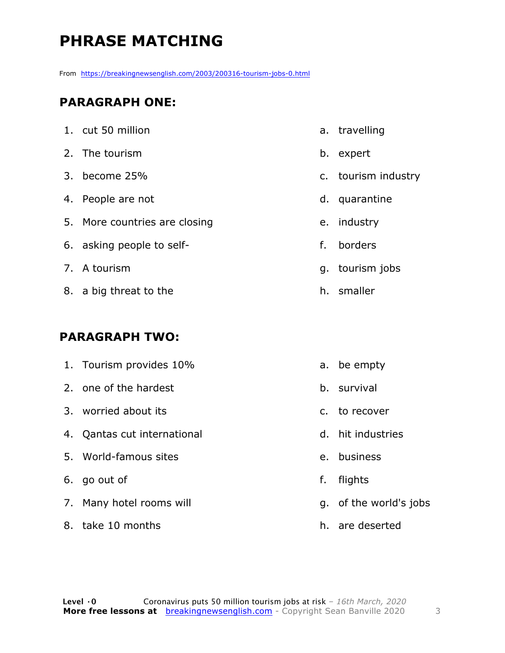# **PHRASE MATCHING**

From https://breakingnewsenglish.com/2003/200316-tourism-jobs-0.html

#### **PARAGRAPH ONE:**

| 1. cut 50 million             | a  |
|-------------------------------|----|
| 2. The tourism                | b  |
| 3. become 25%                 | C  |
| 4. People are not             | d  |
| 5. More countries are closing | e  |
| 6. asking people to self-     | f. |
| 7. A tourism                  | g  |
| 8. a big threat to the        | h  |

#### **PARAGRAPH TWO:**

| 1. Tourism provides 10%     |    | a. be empty            |
|-----------------------------|----|------------------------|
| 2. one of the hardest       |    | b. survival            |
| 3. worried about its        |    | c. to recover          |
| 4. Qantas cut international |    | d. hit industries      |
| 5. World-famous sites       |    | e. business            |
| 6. go out of                | f. | flights                |
| 7. Many hotel rooms will    |    | g. of the world's jobs |
| 8. take 10 months           |    | h. are deserted        |

- . travelling
- b. expert
- c. tourism industry
- . quarantine
- e. industry
- . borders
- g. tourism jobs
- h. smaller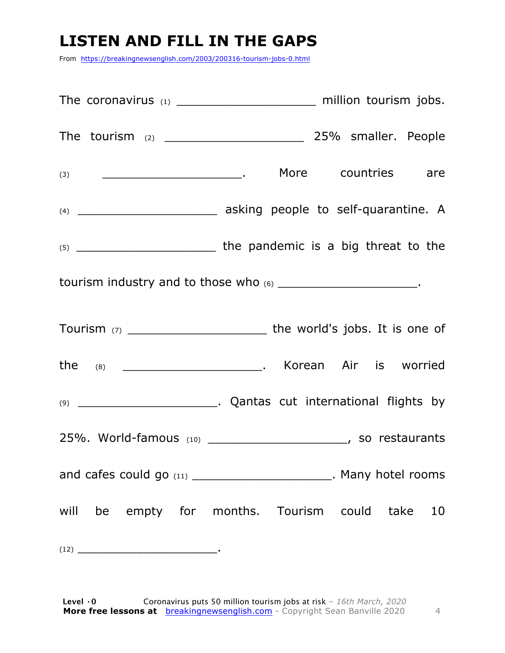## **LISTEN AND FILL IN THE GAPS**

From https://breakingnewsenglish.com/2003/200316-tourism-jobs-0.html

|                                                                     | tourism industry and to those who (6) __________________________. |  |  |  |  |  |  |
|---------------------------------------------------------------------|-------------------------------------------------------------------|--|--|--|--|--|--|
|                                                                     |                                                                   |  |  |  |  |  |  |
| the (8) ______________________________. Korean Air is worried       |                                                                   |  |  |  |  |  |  |
|                                                                     |                                                                   |  |  |  |  |  |  |
| 25%. World-famous (10) _______________________, so restaurants      |                                                                   |  |  |  |  |  |  |
| and cafes could go (11) _________________________. Many hotel rooms |                                                                   |  |  |  |  |  |  |
| will be empty for months. Tourism could take 10                     |                                                                   |  |  |  |  |  |  |
|                                                                     |                                                                   |  |  |  |  |  |  |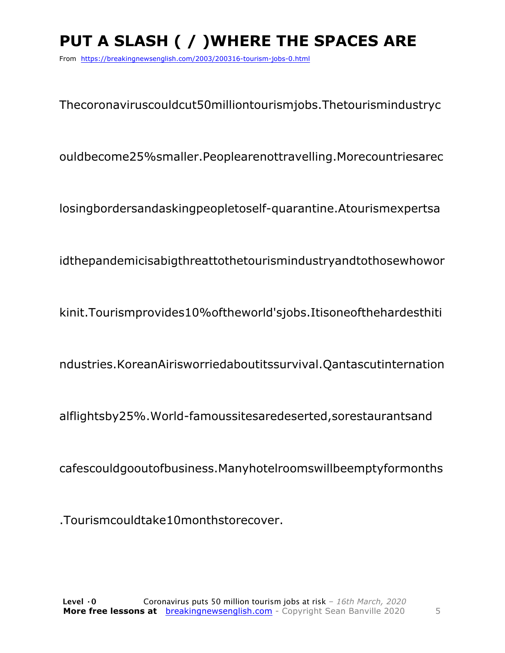# **PUT A SLASH ( / )WHERE THE SPACES ARE**

From https://breakingnewsenglish.com/2003/200316-tourism-jobs-0.html

Thecoronaviruscouldcut50milliontourismjobs.Thetourismindustryc

ouldbecome25%smaller.Peoplearenottravelling.Morecountriesarec

losingbordersandaskingpeopletoself-quarantine.Atourismexpertsa

idthepandemicisabigthreattothetourismindustryandtothosewhowor

kinit.Tourismprovides10%oftheworld'sjobs.Itisoneofthehardesthiti

ndustries.KoreanAirisworriedaboutitssurvival.Qantascutinternation

alflightsby25%.World-famoussitesaredeserted,sorestaurantsand

cafescouldgooutofbusiness.Manyhotelroomswillbeemptyformonths

.Tourismcouldtake10monthstorecover.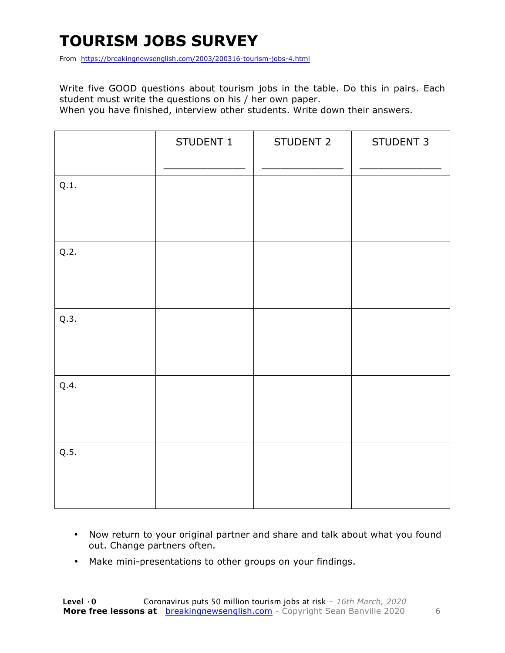# **TOURISM JOBS SURVEY**

From https://breakingnewsenglish.com/2003/200316-tourism-jobs-4.html

Write five GOOD questions about tourism jobs in the table. Do this in pairs. Each student must write the questions on his / her own paper.

When you have finished, interview other students. Write down their answers.

|      | STUDENT 1 | STUDENT 2 | STUDENT 3 |
|------|-----------|-----------|-----------|
| Q.1. |           |           |           |
| Q.2. |           |           |           |
| Q.3. |           |           |           |
| Q.4. |           |           |           |
| Q.5. |           |           |           |

- Now return to your original partner and share and talk about what you found out. Change partners often.
- Make mini-presentations to other groups on your findings.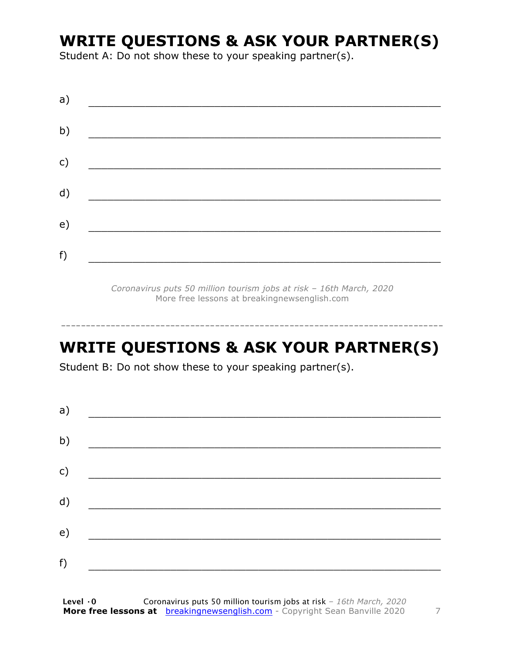### **WRITE QUESTIONS & ASK YOUR PARTNER(S)**

Student A: Do not show these to your speaking partner(s).

| a) |  |  |
|----|--|--|
| b) |  |  |
| c) |  |  |
| d) |  |  |
| e) |  |  |
| f) |  |  |
|    |  |  |

*Coronavirus puts 50 million tourism jobs at risk – 16th March, 2020* More free lessons at breakingnewsenglish.com

### **WRITE QUESTIONS & ASK YOUR PARTNER(S)**

-----------------------------------------------------------------------------

Student B: Do not show these to your speaking partner(s).

| a) |  |  |
|----|--|--|
| b) |  |  |
| c) |  |  |
| d) |  |  |
| e) |  |  |
| f) |  |  |
|    |  |  |

**Level ·0** Coronavirus puts 50 million tourism jobs at risk *– 16th March, 2020* **More free lessons at** breakingnewsenglish.com - Copyright Sean Banville 2020 7